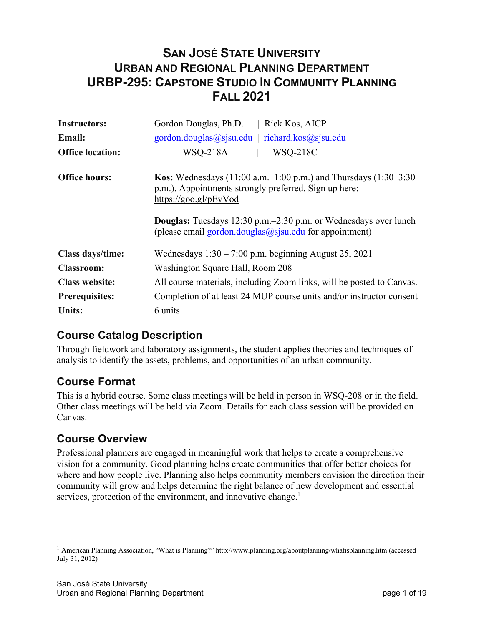# **URBP-295: CAPSTONE STUDIO IN COMMUNITY PLANNING SAN JOSÉ STATE UNIVERSITY URBAN AND REGIONAL PLANNING DEPARTMENT FALL 2021**

| <b>Instructors:</b>     | Gordon Douglas, Ph.D.<br>Rick Kos, AICP                                                                                                                         |  |  |
|-------------------------|-----------------------------------------------------------------------------------------------------------------------------------------------------------------|--|--|
| <b>Email:</b>           | $\text{gordon.douglas}(a)$ sjsu.edu<br>richard.kos@sjsu.edu                                                                                                     |  |  |
| <b>Office location:</b> | <b>WSQ-218C</b><br>WSQ-218A                                                                                                                                     |  |  |
| <b>Office hours:</b>    | <b>Kos:</b> Wednesdays (11:00 a.m. $-1:00$ p.m.) and Thursdays (1:30–3:30<br>p.m.). Appointments strongly preferred. Sign up here:<br>https://goo.gl/p $EvV$ od |  |  |
|                         | <b>Douglas:</b> Tuesdays 12:30 p.m. -2:30 p.m. or Wednesdays over lunch<br>(please email $\frac{1}{2}$ gordon.douglas $\frac{a}{2}$ sisu.edu for appointment)   |  |  |
| Class days/time:        | Wednesdays $1:30 - 7:00$ p.m. beginning August 25, 2021                                                                                                         |  |  |
| <b>Classroom:</b>       | Washington Square Hall, Room 208                                                                                                                                |  |  |
| <b>Class website:</b>   | All course materials, including Zoom links, will be posted to Canvas.                                                                                           |  |  |
| <b>Prerequisites:</b>   | Completion of at least 24 MUP course units and/or instructor consent                                                                                            |  |  |
| <b>Units:</b>           | 6 units                                                                                                                                                         |  |  |

## **Course Catalog Description**

Through fieldwork and laboratory assignments, the student applies theories and techniques of analysis to identify the assets, problems, and opportunities of an urban community.

### **Course Format**

This is a hybrid course. Some class meetings will be held in person in WSQ-208 or in the field. Other class meetings will be held via Zoom. Details for each class session will be provided on Canvas.

### **Course Overview**

 community will grow and helps determine the right balance of new development and essential services, protection of the environment, and innovative change.<sup>1</sup> Professional planners are engaged in meaningful work that helps to create a comprehensive vision for a community. Good planning helps create communities that offer better choices for where and how people live. Planning also helps community members envision the direction their

<sup>&</sup>lt;sup>1</sup> American Planning Association, "What is Planning?" <http://www.planning.org/aboutplanning/whatisplanning.htm>(accessed July 31, 2012)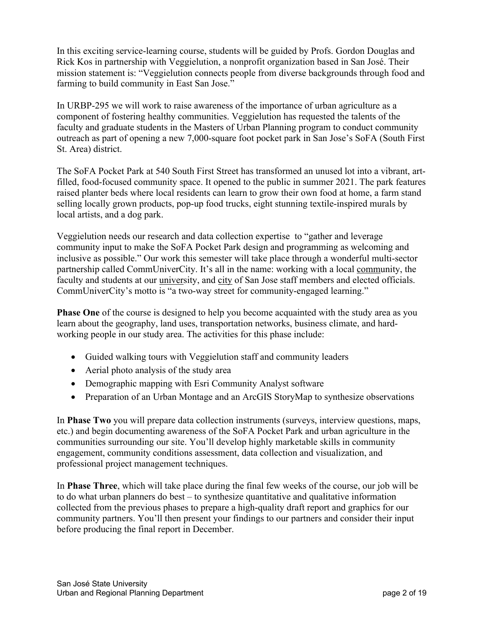In this exciting service-learning course, students will be guided by Profs. Gordon Douglas and Rick Kos in partnership with Veggielution, a nonprofit organization based in San José. Their mission statement is: "Veggielution connects people from diverse backgrounds through food and farming to build community in East San Jose."

In URBP-295 we will work to raise awareness of the importance of urban agriculture as a component of fostering healthy communities. Veggielution has requested the talents of the faculty and graduate students in the Masters of Urban Planning program to conduct community outreach as part of opening a new 7,000-square foot pocket park in San Jose's SoFA (South First St. Area) district.

The SoFA Pocket Park at 540 South First Street has transformed an unused lot into a vibrant, artfilled, food-focused community space. It opened to the public in summer 2021. The park features raised planter beds where local residents can learn to grow their own food at home, a farm stand selling locally grown products, pop-up food trucks, eight stunning textile-inspired murals by local artists, and a dog park.

faculty and students at our *university*, and city of San Jose staff members and elected officials. CommUniverCity's motto is "a two-way street for community-engaged learning." Veggielution needs our research and data collection expertise to "gather and leverage community input to make the SoFA Pocket Park design and programming as welcoming and inclusive as possible." Our work this semester will take place through a wonderful multi-sector partnership called CommUniverCity. It's all in the name: working with a local community, the

 **Phase One** of the course is designed to help you become acquainted with the study area as you working people in our study area. The activities for this phase include: learn about the geography, land uses, transportation networks, business climate, and hard-

- Guided walking tours with Veggielution staff and community leaders
- Aerial photo analysis of the study area
- Demographic mapping with Esri Community Analyst software
- Preparation of an Urban Montage and an ArcGIS StoryMap to synthesize observations

 etc.) and begin documenting awareness of the SoFA Pocket Park and urban agriculture in the In **Phase Two** you will prepare data collection instruments (surveys, interview questions, maps, communities surrounding our site. You'll develop highly marketable skills in community engagement, community conditions assessment, data collection and visualization, and professional project management techniques.

 In **Phase Three**, which will take place during the final few weeks of the course, our job will be to do what urban planners do best – to synthesize quantitative and qualitative information collected from the previous phases to prepare a high-quality draft report and graphics for our community partners. You'll then present your findings to our partners and consider their input before producing the final report in December.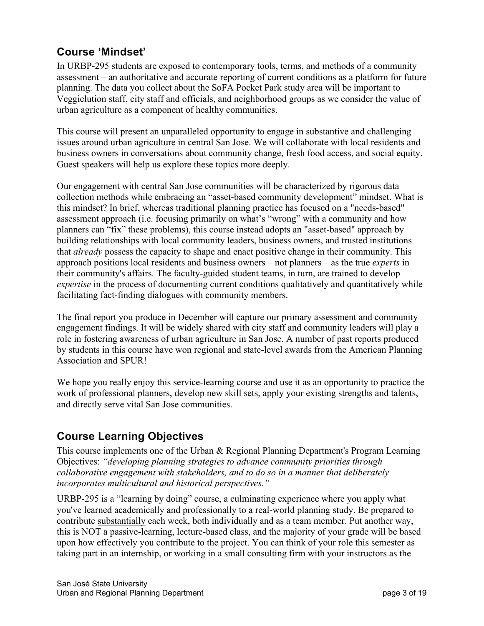## **Course 'Mindset'**

 assessment – an authoritative and accurate reporting of current conditions as a platform for future planning. The data you collect about the SoFA Pocket Park study area will be important to urban agriculture as a component of healthy communities. In URBP-295 students are exposed to contemporary tools, terms, and methods of a community Veggielution staff, city staff and officials, and neighborhood groups as we consider the value of

 issues around urban agriculture in central San Jose. We will collaborate with local residents and Guest speakers will help us explore these topics more deeply. This course will present an unparalleled opportunity to engage in substantive and challenging business owners in conversations about community change, fresh food access, and social equity.

 Our engagement with central San Jose communities will be characterized by rigorous data that *already* possess the capacity to shape and enact positive change in their community. This approach positions local residents and business owners – not planners – as the true *experts* in collection methods while embracing an "asset-based community development" mindset. What is this mindset? In brief, whereas traditional planning practice has focused on a "needs-based" assessment approach (i.e. focusing primarily on what's "wrong" with a community and how planners can "fix" these problems), this course instead adopts an "asset-based" approach by building relationships with local community leaders, business owners, and trusted institutions their community's affairs. The faculty-guided student teams, in turn, are trained to develop *expertise* in the process of documenting current conditions qualitatively and quantitatively while facilitating fact-finding dialogues with community members.

 The final report you produce in December will capture our primary assessment and community engagement findings. It will be widely shared with city staff and community leaders will play a role in fostering awareness of urban agriculture in San Jose. A number of past reports produced Association and SPUR! by students in this course have won regional and state-level awards from the American Planning

 and directly serve vital San Jose communities. We hope you really enjoy this service-learning course and use it as an opportunity to practice the work of professional planners, develop new skill sets, apply your existing strengths and talents,

## **Course Learning Objectives**

This course implements one of the Urban & Regional Planning Department's Program Learning Objectives: *"developing planning strategies to advance community priorities through collaborative engagement with stakeholders, and to do so in a manner that deliberately incorporates multicultural and historical perspectives."* 

contribute substantially each week, both individually and as a team member. Put another way, URBP-295 is a "learning by doing" course, a culminating experience where you apply what you've learned academically and professionally to a real-world planning study. Be prepared to this is NOT a passive-learning, lecture-based class, and the majority of your grade will be based upon how effectively you contribute to the project. You can think of your role this semester as taking part in an internship, or working in a small consulting firm with your instructors as the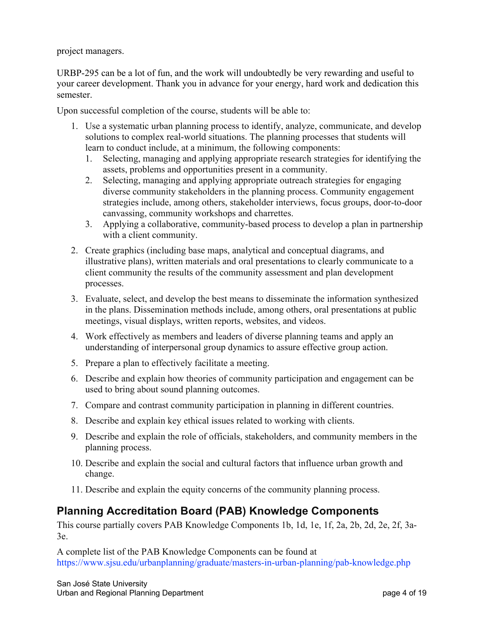project managers.

URBP-295 can be a lot of fun, and the work will undoubtedly be very rewarding and useful to your career development. Thank you in advance for your energy, hard work and dedication this semester.

Upon successful completion of the course, students will be able to:

- 1. Use a systematic urban planning process to identify, analyze, communicate, and develop solutions to complex real-world situations. The planning processes that students will learn to conduct include, at a minimum, the following components:
	- 1. Selecting, managing and applying appropriate research strategies for identifying the assets, problems and opportunities present in a community.
	- 2. Selecting, managing and applying appropriate outreach strategies for engaging diverse community stakeholders in the planning process. Community engagement strategies include, among others, stakeholder interviews, focus groups, door-to-door canvassing, community workshops and charrettes.
	- 3. Applying a collaborative, community-based process to develop a plan in partnership with a client community.
- 2. Create graphics (including base maps, analytical and conceptual diagrams, and illustrative plans), written materials and oral presentations to clearly communicate to a client community the results of the community assessment and plan development processes.
- 3. Evaluate, select, and develop the best means to disseminate the information synthesized in the plans. Dissemination methods include, among others, oral presentations at public meetings, visual displays, written reports, websites, and videos.
- 4. Work effectively as members and leaders of diverse planning teams and apply an understanding of interpersonal group dynamics to assure effective group action.
- 5. Prepare a plan to effectively facilitate a meeting.
- 6. Describe and explain how theories of community participation and engagement can be used to bring about sound planning outcomes.
- 7. Compare and contrast community participation in planning in different countries.
- 8. Describe and explain key ethical issues related to working with clients.
- 9. Describe and explain the role of officials, stakeholders, and community members in the planning process.
- 10. Describe and explain the social and cultural factors that influence urban growth and change.
- 11. Describe and explain the equity concerns of the community planning process.

### **Planning Accreditation Board (PAB) Knowledge Components**

This course partially covers PAB Knowledge Components 1b, 1d, 1e, 1f, 2a, 2b, 2d, 2e, 2f, 3a-3e.

A complete list of the PAB Knowledge Components can be found at <https://www.sjsu.edu/urbanplanning/graduate/masters-in-urban-planning/pab-knowledge.php>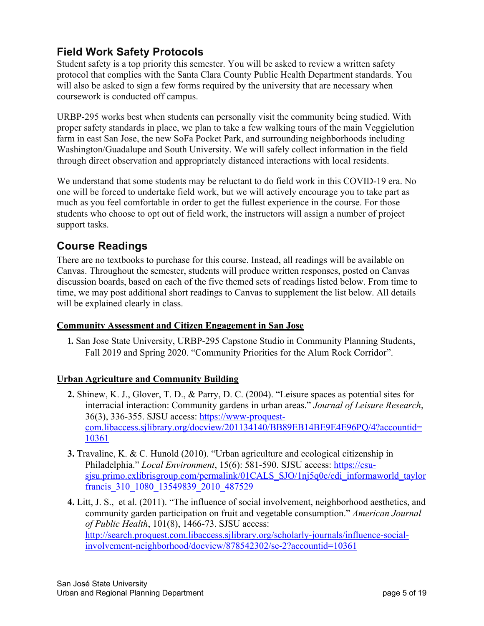## **Field Work Safety Protocols**

coursework is conducted off campus. Student safety is a top priority this semester. You will be asked to review a written safety protocol that complies with the Santa Clara County Public Health Department standards. You will also be asked to sign a few forms required by the university that are necessary when

through direct observation and appropriately distanced interactions with local residents. URBP-295 works best when students can personally visit the community being studied. With proper safety standards in place, we plan to take a few walking tours of the main Veggielution farm in east San Jose, the new SoFa Pocket Park, and surrounding neighborhoods including Washington/Guadalupe and South University. We will safely collect information in the field

We understand that some students may be reluctant to do field work in this COVID-19 era. No one will be forced to undertake field work, but we will actively encourage you to take part as much as you feel comfortable in order to get the fullest experience in the course. For those students who choose to opt out of field work, the instructors will assign a number of project support tasks.

### **Course Readings**

 Canvas. Throughout the semester, students will produce written responses, posted on Canvas discussion boards, based on each of the five themed sets of readings listed below. From time to time, we may post additional short readings to Canvas to supplement the list below. All details There are no textbooks to purchase for this course. Instead, all readings will be available on will be explained clearly in class.

#### **Community Assessment and Citizen Engagement in San Jose**

**1.** San Jose State University, URBP-295 Capstone Studio in Community Planning Students, Fall 2019 and Spring 2020. "Community Priorities for the Alum Rock Corridor".

#### **Urban Agriculture and Community Building**

- **2.** Shinew, K. J., Glover, T. D., & Parry, D. C. (2004). "Leisure spaces as potential sites for interracial interaction: Community gardens in urban areas." *Journal of Leisure Research*, 36(3), 336-355. SJSU access:<https://www-proquest>com.libaccess.sjlibrary.org/docview/201134140/BB89EB14BE9E4E96PQ/4?accountid= 10361
- **3.** Travaline, K. & C. Hunold (2010). "Urban agriculture and ecological citizenship in francis 310 1080 13549839 2010 487529 Philadelphia." *Local Environment*, 15(6): 581-590. SJSU access: <https://csu>sjsu.primo.exlibrisgroup.com/permalink/01CALS\_SJO/1nj5q0c/cdi\_informaworld\_taylor
- involvement-neighborhood/docview/878542302/se-2?accountid=10361 **4.** Litt, J. S., et al. (2011). "The influence of social involvement, neighborhood aesthetics, and community garden participation on fruit and vegetable consumption." *American Journal of Public Health*, 101(8), 1466-73. SJSU access: <http://search.proquest.com.libaccess.sjlibrary.org/scholarly-journals/influence-social>-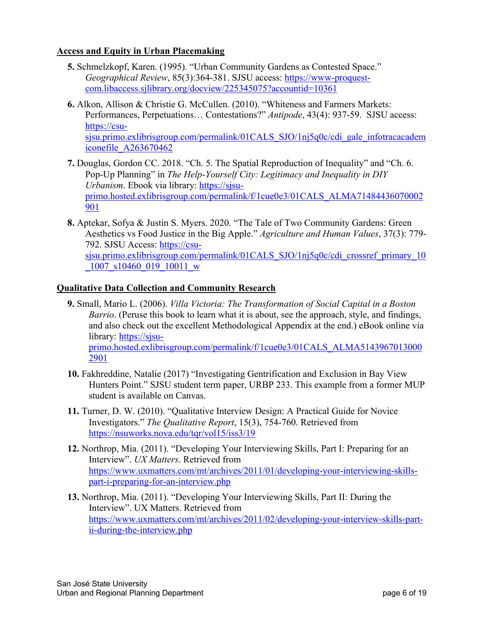#### **Access and Equity in Urban Placemaking**

- **5.** Schmelzkopf, Karen. (1995). "Urban Community Gardens as Contested Space." *Geographical Review*, 85(3):364-381. SJSU access:<https://www-proquest>com.libaccess.sjlibrary.org/docview/225345075?accountid=10361
- iconefile\_A263670462 **6.** Alkon, Allison & Christie G. McCullen. (2010). "Whiteness and Farmers Markets: Performances, Perpetuations… Contestations?" *Antipode*, 43(4): 937-59. SJSU access: <https://csu>sjsu.primo.exlibrisgroup.com/permalink/01CALS\_SJO/1nj5q0c/cdi\_gale\_infotracacadem
- 901 **7.** Douglas, Gordon CC. 2018. "Ch. 5. The Spatial Reproduction of Inequality" and "Ch. 6. Pop-Up Planning" in *The Help-Yourself City: Legitimacy and Inequality in DIY Urbanism*. Ebook via library:<https://sjsu>[primo.hosted.exlibrisgroup.com/permalink/f/1cue0e3/01CALS\\_ALMA71484436070002](https://primo.hosted.exlibrisgroup.com/permalink/f/1cue0e3/01CALS_ALMA71484436070002)
- 1007 s10460 019 10011 w **8.** Aptekar, Sofya & Justin S. Myers. 2020. "The Tale of Two Community Gardens: Green Aesthetics vs Food Justice in the Big Apple." *Agriculture and Human Values*, 37(3): 779- 792. SJSU Access: <https://csu>sjsu.primo.exlibrisgroup.com/permalink/01CALS\_SJO/1nj5q0c/cdi\_crossref\_primary\_10

#### **Qualitative Data Collection and Community Research**

- **9.** Small, Mario L. (2006). *Villa Victoria: The Transformation of Social Capital in a Boston Barrio*. (Peruse this book to learn what it is about, see the approach, style, and findings, and also check out the excellent Methodological Appendix at the end.) eBook online via library: <https://sjsu>[primo.hosted.exlibrisgroup.com/permalink/f/1cue0e3/01CALS\\_ALMA5143967013000](https://primo.hosted.exlibrisgroup.com/permalink/f/1cue0e3/01CALS_ALMA5143967013000) 2901
- Hunters Point." SJSU student term paper, URBP 233. This example from a former MUP student is available on Canvas. **10.** Fakhreddine, Natalie (2017) "Investigating Gentrification and Exclusion in Bay View
- <https://nsuworks.nova.edu/tqr/vol15/iss3/19> **11.** Turner, D. W. (2010). "Qualitative Interview Design: A Practical Guide for Novice Investigators." *The Qualitative Report*, 15(3), 754-760. Retrieved from
- part-i-preparing-for-an-interview.php **12.** Northrop, Mia. (2011). "Developing Your Interviewing Skills, Part I: Preparing for an Interview". *UX Matters*. Retrieved from <https://www.uxmatters.com/mt/archives/2011/01/developing-your-interviewing-skills>-
- ii-during-the-interview.php **13.** Northrop, Mia. (2011). "Developing Your Interviewing Skills, Part II: During the Interview". UX Matters. Retrieved from [https://www.uxmatters.com/mt/archives/2011/02/developing-your-interview-skills-part-](https://www.uxmatters.com/mt/archives/2011/02/developing-your-interview-skills-part)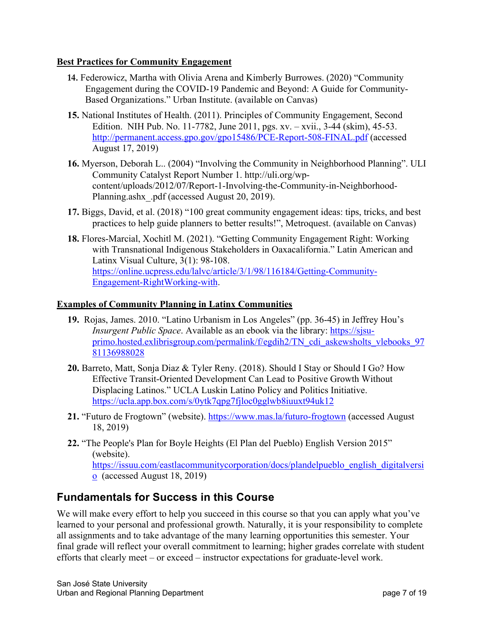#### **Best Practices for Community Engagement**

- **14.** Federowicz, Martha with Olivia Arena and Kimberly Burrowes. (2020) "Community Engagement during the COVID-19 Pandemic and Beyond: A Guide for Community-Based Organizations." Urban Institute. (available on Canvas)
- **15.** National Institutes of Health. (2011). Principles of Community Engagement, Second Edition. NIH Pub. No. 11-7782, June 2011, pgs. xv. – xvii., 3-44 (skim), 45-53. <http://permanent.access.gpo.gov/gpo15486/PCE-Report-508-FINAL.pdf> (accessed August 17, 2019)
- **16.** Myerson, Deborah L.. (2004) "Involving the Community in Neighborhood Planning". ULI Community Catalyst Report Number 1.<http://uli.org/wp>content/uploads/2012/07/Report-1-Involving-the-Community-in-Neighborhood-Planning.ashx\_.pdf (accessed August 20, 2019).
- **17.** Biggs, David, et al. (2018) "100 great community engagement ideas: tips, tricks, and best practices to help guide planners to better results!", Metroquest. (available on Canvas)
- **18.** Flores-Marcial, Xochitl M. (2021). "Getting Community Engagement Right: Working with Transnational Indigenous Stakeholders in Oaxacalifornia." Latin American and Latinx Visual Culture, 3(1): 98-108. [https://online.ucpress.edu/lalvc/article/3/1/98/116184/Getting-Community-](https://online.ucpress.edu/lalvc/article/3/1/98/116184/Getting-Community)Engagement-RightWorking-with.

#### **Examples of Community Planning in Latinx Communities**

- **19.** Rojas, James. 2010. "Latino Urbanism in Los Angeles" (pp. 36-45) in Jeffrey Hou's 81136988028 *Insurgent Public Space*. Available as an ebook via the library: <https://sjsu>[primo.hosted.exlibrisgroup.com/permalink/f/egdih2/TN\\_cdi\\_askewsholts\\_vlebooks\\_97](https://primo.hosted.exlibrisgroup.com/permalink/f/egdih2/TN_cdi_askewsholts_vlebooks_97)
- <https://ucla.app.box.com/s/0ytk7qpg7fjloc0gglwb8iuuxt94uk12>**20.** Barreto, Matt, Sonja Diaz & Tyler Reny. (2018). Should I Stay or Should I Go? How Effective Transit-Oriented Development Can Lead to Positive Growth Without Displacing Latinos." UCLA Luskin Latino Policy and Politics Initiative.
- **21.** "Futuro de Frogtown" (website). <https://www.mas.la/futuro-frogtown>(accessed August 18, 2019)
- $\Omega$  (accessed August 18, 2019) **22.** "The People's Plan for Boyle Heights (El Plan del Pueblo) English Version 2015" (website). [https://issuu.com/eastlacommunitycorporation/docs/plandelpueblo\\_english\\_digitalversi](https://issuu.com/eastlacommunitycorporation/docs/plandelpueblo_english_digitalversi)

### **Fundamentals for Success in this Course**

 efforts that clearly meet – or exceed – instructor expectations for graduate-level work. We will make every effort to help you succeed in this course so that you can apply what you've learned to your personal and professional growth. Naturally, it is your responsibility to complete all assignments and to take advantage of the many learning opportunities this semester. Your final grade will reflect your overall commitment to learning; higher grades correlate with student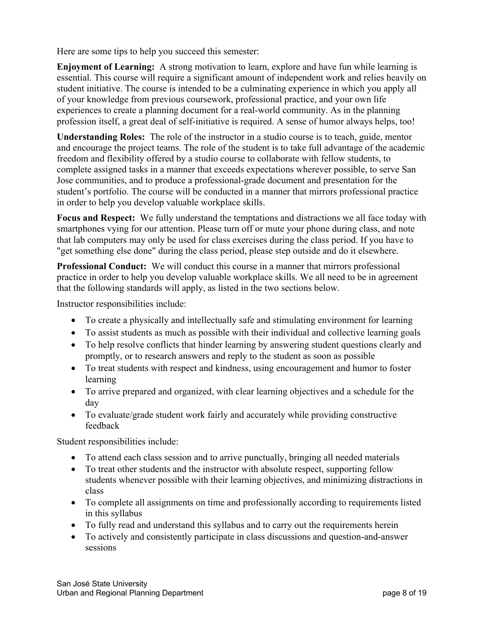Here are some tips to help you succeed this semester:

 **Enjoyment of Learning:** A strong motivation to learn, explore and have fun while learning is essential. This course will require a significant amount of independent work and relies heavily on student initiative. The course is intended to be a culminating experience in which you apply all of your knowledge from previous coursework, professional practice, and your own life experiences to create a planning document for a real-world community. As in the planning profession itself, a great deal of self-initiative is required. A sense of humor always helps, too!

 **Understanding Roles:** The role of the instructor in a studio course is to teach, guide, mentor and encourage the project teams. The role of the student is to take full advantage of the academic freedom and flexibility offered by a studio course to collaborate with fellow students, to complete assigned tasks in a manner that exceeds expectations wherever possible, to serve San Jose communities, and to produce a professional-grade document and presentation for the student's portfolio. The course will be conducted in a manner that mirrors professional practice in order to help you develop valuable workplace skills.

 **Focus and Respect:** We fully understand the temptations and distractions we all face today with smartphones vying for our attention. Please turn off or mute your phone during class, and note that lab computers may only be used for class exercises during the class period. If you have to "get something else done" during the class period, please step outside and do it elsewhere.

 **Professional Conduct:** We will conduct this course in a manner that mirrors professional practice in order to help you develop valuable workplace skills. We all need to be in agreement that the following standards will apply, as listed in the two sections below.

Instructor responsibilities include:

- To create a physically and intellectually safe and stimulating environment for learning
- To assist students as much as possible with their individual and collective learning goals
- To help resolve conflicts that hinder learning by answering student questions clearly and promptly, or to research answers and reply to the student as soon as possible
- To treat students with respect and kindness, using encouragement and humor to foster learning
- To arrive prepared and organized, with clear learning objectives and a schedule for the day
- To evaluate/grade student work fairly and accurately while providing constructive feedback

Student responsibilities include:

- To attend each class session and to arrive punctually, bringing all needed materials
- To treat other students and the instructor with absolute respect, supporting fellow students whenever possible with their learning objectives, and minimizing distractions in class
- To complete all assignments on time and professionally according to requirements listed in this syllabus
- To fully read and understand this syllabus and to carry out the requirements herein
- To actively and consistently participate in class discussions and question-and-answer sessions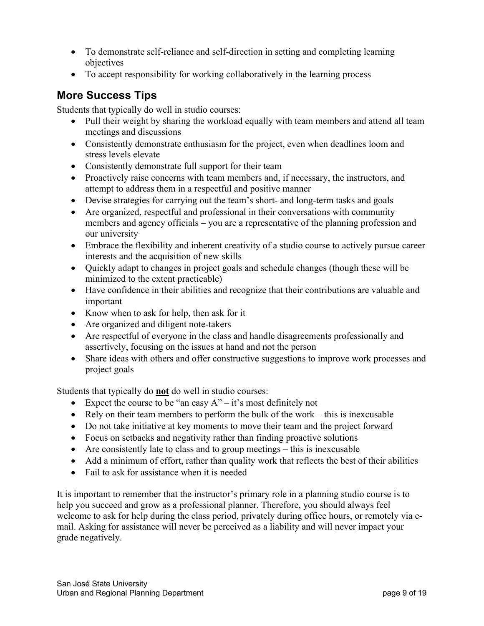- To demonstrate self-reliance and self-direction in setting and completing learning objectives
- To accept responsibility for working collaboratively in the learning process

### **More Success Tips**

Students that typically do well in studio courses:

- Pull their weight by sharing the workload equally with team members and attend all team meetings and discussions
- Consistently demonstrate enthusiasm for the project, even when deadlines loom and stress levels elevate
- Consistently demonstrate full support for their team
- attempt to address them in a respectful and positive manner • Proactively raise concerns with team members and, if necessary, the instructors, and
- Devise strategies for carrying out the team's short- and long-term tasks and goals
- members and agency officials you are a representative of the planning profession and • Are organized, respectful and professional in their conversations with community our university
- Embrace the flexibility and inherent creativity of a studio course to actively pursue career interests and the acquisition of new skills
- Quickly adapt to changes in project goals and schedule changes (though these will be minimized to the extent practicable)
- Have confidence in their abilities and recognize that their contributions are valuable and important
- Know when to ask for help, then ask for it
- Are organized and diligent note-takers
- Are respectful of everyone in the class and handle disagreements professionally and assertively, focusing on the issues at hand and not the person
- project goals • Share ideas with others and offer constructive suggestions to improve work processes and

project goals<br>Students that typically do **not** do well in studio courses:

- Expect the course to be "an easy  $A" it"$ s most definitely not
- Rely on their team members to perform the bulk of the work this is inexcusable
- Do not take initiative at key moments to move their team and the project forward
- Focus on setbacks and negativity rather than finding proactive solutions
- Are consistently late to class and to group meetings this is inexcusable
- Add a minimum of effort, rather than quality work that reflects the best of their abilities
- Fail to ask for assistance when it is needed

mail. Asking for assistance will never be perceived as a liability and will never impact your It is important to remember that the instructor's primary role in a planning studio course is to help you succeed and grow as a professional planner. Therefore, you should always feel welcome to ask for help during the class period, privately during office hours, or remotely via egrade negatively.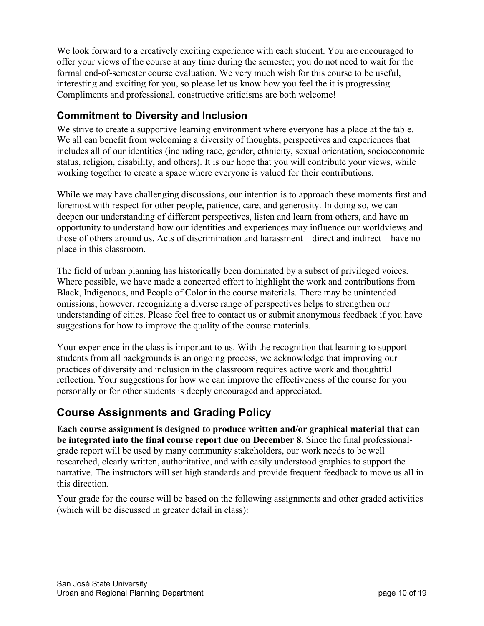interesting and exciting for you, so please let us know how you feel the it is progressing. We look forward to a creatively exciting experience with each student. You are encouraged to offer your views of the course at any time during the semester; you do not need to wait for the formal end-of-semester course evaluation. We very much wish for this course to be useful, Compliments and professional, constructive criticisms are both welcome!

### **Commitment to Diversity and Inclusion**

We strive to create a supportive learning environment where everyone has a place at the table. We all can benefit from welcoming a diversity of thoughts, perspectives and experiences that includes all of our identities (including race, gender, ethnicity, sexual orientation, socioeconomic status, religion, disability, and others). It is our hope that you will contribute your views, while working together to create a space where everyone is valued for their contributions.

While we may have challenging discussions, our intention is to approach these moments first and foremost with respect for other people, patience, care, and generosity. In doing so, we can deepen our understanding of different perspectives, listen and learn from others, and have an opportunity to understand how our identities and experiences may influence our worldviews and those of others around us. Acts of discrimination and harassment—direct and indirect—have no place in this classroom.

The field of urban planning has historically been dominated by a subset of privileged voices. Where possible, we have made a concerted effort to highlight the work and contributions from Black, Indigenous, and People of Color in the course materials. There may be unintended omissions; however, recognizing a diverse range of perspectives helps to strengthen our understanding of cities. Please feel free to contact us or submit anonymous feedback if you have suggestions for how to improve the quality of the course materials.

Your experience in the class is important to us. With the recognition that learning to support students from all backgrounds is an ongoing process, we acknowledge that improving our practices of diversity and inclusion in the classroom requires active work and thoughtful reflection. Your suggestions for how we can improve the effectiveness of the course for you personally or for other students is deeply encouraged and appreciated.

## **Course Assignments and Grading Policy**

 **be integrated into the final course report due on December 8.** Since the final professional-**Each course assignment is designed to produce written and/or graphical material that can**  grade report will be used by many community stakeholders, our work needs to be well researched, clearly written, authoritative, and with easily understood graphics to support the narrative. The instructors will set high standards and provide frequent feedback to move us all in this direction.

Your grade for the course will be based on the following assignments and other graded activities (which will be discussed in greater detail in class):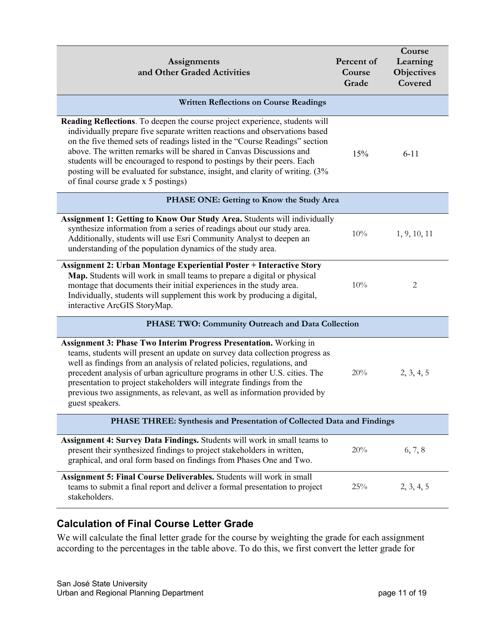| Assignments<br>and Other Graded Activities                                                                                                                                                                                                                                                                                                                                                                                                                                                                          | Percent of<br>Course<br>Grade | Course<br>Learning<br>Objectives<br>Covered |  |  |
|---------------------------------------------------------------------------------------------------------------------------------------------------------------------------------------------------------------------------------------------------------------------------------------------------------------------------------------------------------------------------------------------------------------------------------------------------------------------------------------------------------------------|-------------------------------|---------------------------------------------|--|--|
| <b>Written Reflections on Course Readings</b>                                                                                                                                                                                                                                                                                                                                                                                                                                                                       |                               |                                             |  |  |
| Reading Reflections. To deepen the course project experience, students will<br>individually prepare five separate written reactions and observations based<br>on the five themed sets of readings listed in the "Course Readings" section<br>above. The written remarks will be shared in Canvas Discussions and<br>students will be encouraged to respond to postings by their peers. Each<br>posting will be evaluated for substance, insight, and clarity of writing. (3%<br>of final course grade x 5 postings) | 15%                           | $6 - 11$                                    |  |  |
| PHASE ONE: Getting to Know the Study Area                                                                                                                                                                                                                                                                                                                                                                                                                                                                           |                               |                                             |  |  |
| Assignment 1: Getting to Know Our Study Area. Students will individually<br>synthesize information from a series of readings about our study area.<br>Additionally, students will use Esri Community Analyst to deepen an<br>understanding of the population dynamics of the study area.                                                                                                                                                                                                                            | 10%                           | 1, 9, 10, 11                                |  |  |
| <b>Assignment 2: Urban Montage Experiential Poster + Interactive Story</b><br>Map. Students will work in small teams to prepare a digital or physical<br>montage that documents their initial experiences in the study area.<br>Individually, students will supplement this work by producing a digital,<br>interactive ArcGIS StoryMap.                                                                                                                                                                            | 10%                           | 2                                           |  |  |
| PHASE TWO: Community Outreach and Data Collection                                                                                                                                                                                                                                                                                                                                                                                                                                                                   |                               |                                             |  |  |
| <b>Assignment 3: Phase Two Interim Progress Presentation.</b> Working in<br>teams, students will present an update on survey data collection progress as<br>well as findings from an analysis of related policies, regulations, and<br>precedent analysis of urban agriculture programs in other U.S. cities. The<br>presentation to project stakeholders will integrate findings from the<br>previous two assignments, as relevant, as well as information provided by<br>guest speakers.                          | 20%                           | 2, 3, 4, 5                                  |  |  |
| PHASE THREE: Synthesis and Presentation of Collected Data and Findings                                                                                                                                                                                                                                                                                                                                                                                                                                              |                               |                                             |  |  |
| Assignment 4: Survey Data Findings. Students will work in small teams to<br>present their synthesized findings to project stakeholders in written,<br>graphical, and oral form based on findings from Phases One and Two.                                                                                                                                                                                                                                                                                           | 20%                           | 6, 7, 8                                     |  |  |
| Assignment 5: Final Course Deliverables. Students will work in small<br>teams to submit a final report and deliver a formal presentation to project<br>stakeholders.                                                                                                                                                                                                                                                                                                                                                | 25%                           | 2, 3, 4, 5                                  |  |  |

#### **Calculation of Final Course Letter Grade**

We will calculate the final letter grade for the course by weighting the grade for each assignment according to the percentages in the table above. To do this, we first convert the letter grade for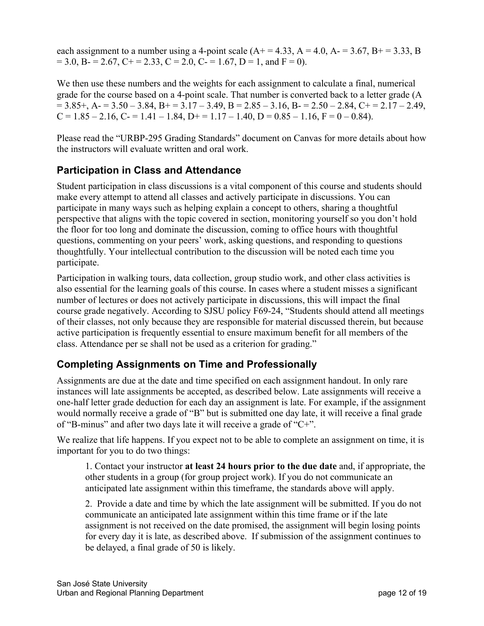each assignment to a number using a 4-point scale  $(A+ = 4.33, A = 4.0, A = 3.67, B = 3.33, B$  $= 3.0, B = 2.67, C = 2.33, C = 2.0, C = 1.67, D = 1, and F = 0.$ 

 $= 3.85 +$ , A $= 3.50 - 3.84$ , B $= 3.17 - 3.49$ , B $= 2.85 - 3.16$ , B $= 2.50 - 2.84$ , C $= 2.17 - 2.49$ ,  $C = 1.85 - 2.16$ ,  $C = 1.41 - 1.84$ ,  $D = 1.17 - 1.40$ ,  $D = 0.85 - 1.16$ ,  $F = 0 - 0.84$ ). We then use these numbers and the weights for each assignment to calculate a final, numerical grade for the course based on a 4-point scale. That number is converted back to a letter grade (A

 Please read the "URBP-295 Grading Standards" document on Canvas for more details about how the instructors will evaluate written and oral work.

#### **Participation in Class and Attendance**

Student participation in class discussions is a vital component of this course and students should make every attempt to attend all classes and actively participate in discussions. You can participate in many ways such as helping explain a concept to others, sharing a thoughtful perspective that aligns with the topic covered in section, monitoring yourself so you don't hold the floor for too long and dominate the discussion, coming to office hours with thoughtful questions, commenting on your peers' work, asking questions, and responding to questions thoughtfully. Your intellectual contribution to the discussion will be noted each time you participate.

Participation in walking tours, data collection, group studio work, and other class activities is also essential for the learning goals of this course. In cases where a student misses a significant number of lectures or does not actively participate in discussions, this will impact the final course grade negatively. According to SJSU policy F69-24, "Students should attend all meetings of their classes, not only because they are responsible for material discussed therein, but because active participation is frequently essential to ensure maximum benefit for all members of the class. Attendance per se shall not be used as a criterion for grading."

### **Completing Assignments on Time and Professionally**

Assignments are due at the date and time specified on each assignment handout. In only rare instances will late assignments be accepted, as described below. Late assignments will receive a one-half letter grade deduction for each day an assignment is late. For example, if the assignment would normally receive a grade of "B" but is submitted one day late, it will receive a final grade of "B-minus" and after two days late it will receive a grade of "C+".

We realize that life happens. If you expect not to be able to complete an assignment on time, it is important for you to do two things:

 anticipated late assignment within this timeframe, the standards above will apply. 1. Contact your instructor **at least 24 hours prior to the due date** and, if appropriate, the other students in a group (for group project work). If you do not communicate an

2. Provide a date and time by which the late assignment will be submitted. If you do not communicate an anticipated late assignment within this time frame or if the late assignment is not received on the date promised, the assignment will begin losing points for every day it is late, as described above. If submission of the assignment continues to be delayed, a final grade of 50 is likely.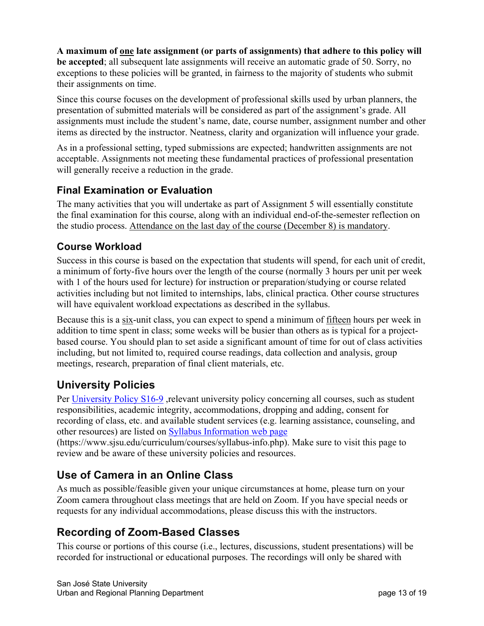their assignments on time. **A maximum of one late assignment (or parts of assignments) that adhere to this policy will be accepted**; all subsequent late assignments will receive an automatic grade of 50. Sorry, no exceptions to these policies will be granted, in fairness to the majority of students who submit

Since this course focuses on the development of professional skills used by urban planners, the presentation of submitted materials will be considered as part of the assignment's grade. All assignments must include the student's name, date, course number, assignment number and other items as directed by the instructor. Neatness, clarity and organization will influence your grade.

 will generally receive a reduction in the grade. As in a professional setting, typed submissions are expected; handwritten assignments are not acceptable. Assignments not meeting these fundamental practices of professional presentation

### **Final Examination or Evaluation**

 The many activities that you will undertake as part of Assignment 5 will essentially constitute the studio process. Attendance on the last day of the course (December 8) is mandatory. the final examination for this course, along with an individual end-of-the-semester reflection on

### **Course Workload**

Success in this course is based on the expectation that students will spend, for each unit of credit, a minimum of forty-five hours over the length of the course (normally 3 hours per unit per week with 1 of the hours used for lecture) for instruction or preparation/studying or course related activities including but not limited to internships, labs, clinical practica. Other course structures will have equivalent workload expectations as described in the syllabus.

Because this is a six-unit class, you can expect to spend a minimum of fifteen hours per week in addition to time spent in class; some weeks will be busier than others as is typical for a projectbased course. You should plan to set aside a significant amount of time for out of class activities including, but not limited to, required course readings, data collection and analysis, group meetings, research, preparation of final client materials, etc.

## **University Policies**

Per University Policy S16-9, relevant university policy concerning all courses, such as student responsibilities, academic integrity, accommodations, dropping and adding, consent for recording of class, etc. and available student services (e.g. learning assistance, counseling, and other resources) are listed on Syllabus Information web page

([https://www.sjsu.edu/curriculum/courses/syllabus-info.php\)](https://www.sjsu.edu/curriculum/courses/syllabus-info.php). Make sure to visit this page to review and be aware of these university policies and resources.

## **Use of Camera in an Online Class**

 requests for any individual accommodations, please discuss this with the instructors. As much as possible/feasible given your unique circumstances at home, please turn on your Zoom camera throughout class meetings that are held on Zoom. If you have special needs or

## **Recording of Zoom-Based Classes**

This course or portions of this course (i.e., lectures, discussions, student presentations) will be recorded for instructional or educational purposes. The recordings will only be shared with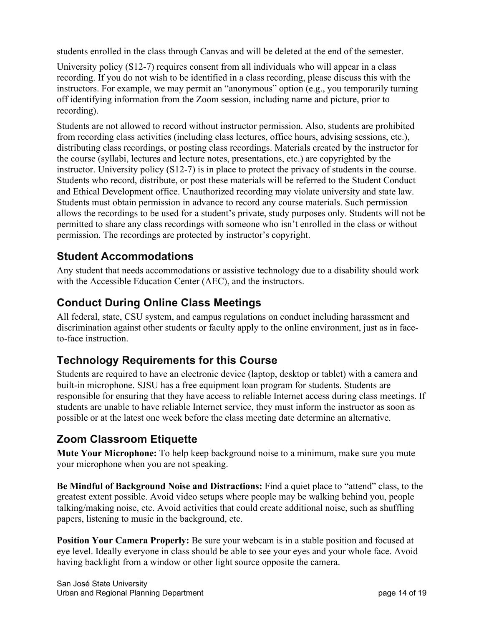students enrolled in the class through Canvas and will be deleted at the end of the semester.

University policy (S12-7) requires consent from all individuals who will appear in a class recording. If you do not wish to be identified in a class recording, please discuss this with the instructors. For example, we may permit an "anonymous" option (e.g., you temporarily turning off identifying information from the Zoom session, including name and picture, prior to recording).

Students are not allowed to record without instructor permission. Also, students are prohibited from recording class activities (including class lectures, office hours, advising sessions, etc.), distributing class recordings, or posting class recordings. Materials created by the instructor for the course (syllabi, lectures and lecture notes, presentations, etc.) are copyrighted by the instructor. University policy (S12-7) is in place to protect the privacy of students in the course. Students who record, distribute, or post these materials will be referred to the Student Conduct and Ethical Development office. Unauthorized recording may violate university and state law. Students must obtain permission in advance to record any course materials. Such permission allows the recordings to be used for a student's private, study purposes only. Students will not be permitted to share any class recordings with someone who isn't enrolled in the class or without permission. The recordings are protected by instructor's copyright.

### **Student Accommodations**

Any student that needs accommodations or assistive technology due to a disability should work with the Accessible Education Center (AEC), and the instructors.

## **Conduct During Online Class Meetings**

All federal, state, CSU system, and campus regulations on conduct including harassment and discrimination against other students or faculty apply to the online environment, just as in faceto-face instruction.

# **Technology Requirements for this Course**

Students are required to have an electronic device (laptop, desktop or tablet) with a camera and built-in microphone. SJSU has a free equipment loan program for students. Students are responsible for ensuring that they have access to reliable Internet access during class meetings. If students are unable to have reliable Internet service, they must inform the instructor as soon as possible or at the latest one week before the class meeting date determine an alternative.

## **Zoom Classroom Etiquette**

**Mute Your Microphone:** To help keep background noise to a minimum, make sure you mute your microphone when you are not speaking.

**Be Mindful of Background Noise and Distractions:** Find a quiet place to "attend" class, to the greatest extent possible. Avoid video setups where people may be walking behind you, people talking/making noise, etc. Avoid activities that could create additional noise, such as shuffling papers, listening to music in the background, etc.

**Position Your Camera Properly:** Be sure your webcam is in a stable position and focused at eye level. Ideally everyone in class should be able to see your eyes and your whole face. Avoid having backlight from a window or other light source opposite the camera.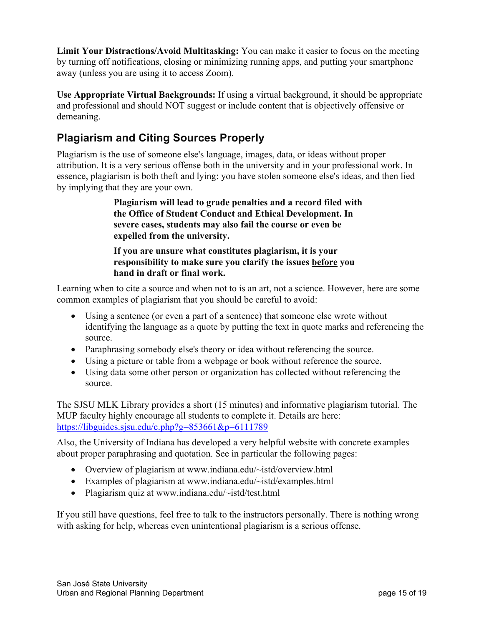**Limit Your Distractions/Avoid Multitasking:** You can make it easier to focus on the meeting by turning off notifications, closing or minimizing running apps, and putting your smartphone away (unless you are using it to access Zoom).

**Use Appropriate Virtual Backgrounds:** If using a virtual background, it should be appropriate and professional and should NOT suggest or include content that is objectively offensive or demeaning.

# **Plagiarism and Citing Sources Properly**

Plagiarism is the use of someone else's language, images, data, or ideas without proper attribution. It is a very serious offense both in the university and in your professional work. In essence, plagiarism is both theft and lying: you have stolen someone else's ideas, and then lied by implying that they are your own.

> **Plagiarism will lead to grade penalties and a record filed with the Office of Student Conduct and Ethical Development. In severe cases, students may also fail the course or even be expelled from the university.**

 **responsibility to make sure you clarify the issues before you If you are unsure what constitutes plagiarism, it is your hand in draft or final work.** 

Learning when to cite a source and when not to is an art, not a science. However, here are some common examples of plagiarism that you should be careful to avoid:

- Using a sentence (or even a part of a sentence) that someone else wrote without identifying the language as a quote by putting the text in quote marks and referencing the source.
- Paraphrasing somebody else's theory or idea without referencing the source.
- Using a picture or table from a webpage or book without reference the source.
- Using data some other person or organization has collected without referencing the source.

The SJSU MLK Library provides a short (15 minutes) and informative plagiarism tutorial. The MUP faculty highly encourage all students to complete it. Details are here: <https://libguides.sjsu.edu/c.php?g=853661&p=6111789>

Also, the University of Indiana has developed a very helpful website with concrete examples about proper paraphrasing and quotation. See in particular the following pages:

- Overview of plagiarism at <www.indiana.edu/~istd/overview.html>
- Examples of plagiarism at <www.indiana.edu/~istd/examples.html>
- Plagiarism quiz at <www.indiana.edu/~istd/test.html>

If you still have questions, feel free to talk to the instructors personally. There is nothing wrong with asking for help, whereas even unintentional plagiarism is a serious offense.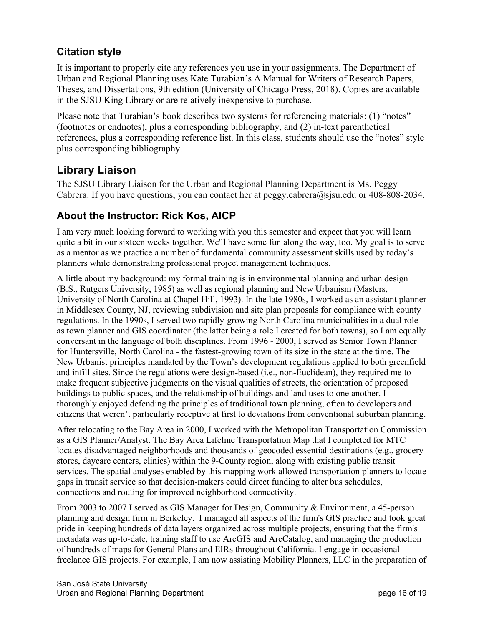### **Citation style**

 in the SJSU King Library or are relatively inexpensive to purchase. It is important to properly cite any references you use in your assignments. The Department of Urban and Regional Planning uses Kate Turabian's A Manual for Writers of Research Papers, Theses, and Dissertations, 9th edition (University of Chicago Press, 2018). Copies are available

Please note that Turabian's book describes two systems for referencing materials: (1) "notes" (footnotes or endnotes), plus a corresponding bibliography, and (2) in-text parenthetical references, plus a corresponding reference list. In this class, students should use the "notes" style plus corresponding bibliography.

### **Library Liaison**

The SJSU Library Liaison for the Urban and Regional Planning Department is Ms. Peggy Cabrera. If you have questions, you can contact her at [peggy.cabrera@sjsu.edu](mailto:peggy.cabrera@sjsu.edu) or 408-808-2034.

### **About the Instructor: Rick Kos, AICP**

I am very much looking forward to working with you this semester and expect that you will learn quite a bit in our sixteen weeks together. We'll have some fun along the way, too. My goal is to serve as a mentor as we practice a number of fundamental community assessment skills used by today's planners while demonstrating professional project management techniques.

 University of North Carolina at Chapel Hill, 1993). In the late 1980s, I worked as an assistant planner conversant in the language of both disciplines. From 1996 - 2000, I served as Senior Town Planner New Urbanist principles mandated by the Town's development regulations applied to both greenfield make frequent subjective judgments on the visual qualities of streets, the orientation of proposed A little about my background: my formal training is in environmental planning and urban design (B.S., Rutgers University, 1985) as well as regional planning and New Urbanism (Masters, in Middlesex County, NJ, reviewing subdivision and site plan proposals for compliance with county regulations. In the 1990s, I served two rapidly-growing North Carolina municipalities in a dual role as town planner and GIS coordinator (the latter being a role I created for both towns), so I am equally for Huntersville, North Carolina - the fastest-growing town of its size in the state at the time. The and infill sites. Since the regulations were design-based (i.e., non-Euclidean), they required me to buildings to public spaces, and the relationship of buildings and land uses to one another. I thoroughly enjoyed defending the principles of traditional town planning, often to developers and citizens that weren't particularly receptive at first to deviations from conventional suburban planning.

 After relocating to the Bay Area in 2000, I worked with the Metropolitan Transportation Commission gaps in transit service so that decision-makers could direct funding to alter bus schedules, as a GIS Planner/Analyst. The Bay Area Lifeline Transportation Map that I completed for MTC locates disadvantaged neighborhoods and thousands of geocoded essential destinations (e.g., grocery stores, daycare centers, clinics) within the 9-County region, along with existing public transit services. The spatial analyses enabled by this mapping work allowed transportation planners to locate connections and routing for improved neighborhood connectivity.

 planning and design firm in Berkeley. I managed all aspects of the firm's GIS practice and took great metadata was up-to-date, training staff to use ArcGIS and ArcCatalog, and managing the production of hundreds of maps for General Plans and EIRs throughout California. I engage in occasional From 2003 to 2007 I served as GIS Manager for Design, Community & Environment, a 45-person pride in keeping hundreds of data layers organized across multiple projects, ensuring that the firm's freelance GIS projects. For example, I am now assisting Mobility Planners, LLC in the preparation of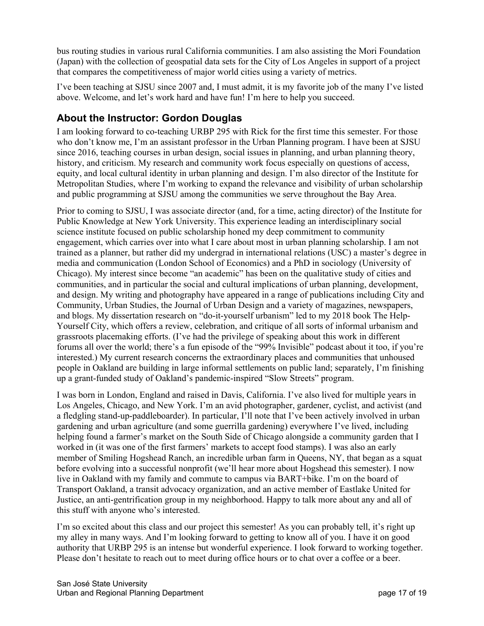bus routing studies in various rural California communities. I am also assisting the Mori Foundation (Japan) with the collection of geospatial data sets for the City of Los Angeles in support of a project that compares the competitiveness of major world cities using a variety of metrics.

 above. Welcome, and let's work hard and have fun! I'm here to help you succeed. I've been teaching at SJSU since 2007 and, I must admit, it is my favorite job of the many I've listed

#### **About the Instructor: Gordon Douglas**

 history, and criticism. My research and community work focus especially on questions of access, and public programming at SJSU among the communities we serve throughout the Bay Area. I am looking forward to co-teaching URBP 295 with Rick for the first time this semester. For those who don't know me, I'm an assistant professor in the Urban Planning program. I have been at SJSU since 2016, teaching courses in urban design, social issues in planning, and urban planning theory, equity, and local cultural identity in urban planning and design. I'm also director of the Institute for Metropolitan Studies, where I'm working to expand the relevance and visibility of urban scholarship

 engagement, which carries over into what I care about most in urban planning scholarship. I am not trained as a planner, but rather did my undergrad in international relations (USC) a master's degree in media and communication (London School of Economics) and a PhD in sociology (University of and design. My writing and photography have appeared in a range of publications including City and Community, Urban Studies, the Journal of Urban Design and a variety of magazines, newspapers, forums all over the world; there's a fun episode of the "99% Invisible" podcast about it too, if you're people in Oakland are building in large informal settlements on public land; separately, I'm finishing Prior to coming to SJSU, I was associate director (and, for a time, acting director) of the Institute for Public Knowledge at New York University. This experience leading an interdisciplinary social science institute focused on public scholarship honed my deep commitment to community Chicago). My interest since become "an academic" has been on the qualitative study of cities and communities, and in particular the social and cultural implications of urban planning, development, and blogs. My dissertation research on "do-it-yourself urbanism" led to my 2018 book The Help-Yourself City, which offers a review, celebration, and critique of all sorts of informal urbanism and grassroots placemaking efforts. (I've had the privilege of speaking about this work in different interested.) My current research concerns the extraordinary places and communities that unhoused up a grant-funded study of Oakland's pandemic-inspired "Slow Streets" program.

 Los Angeles, Chicago, and New York. I'm an avid photographer, gardener, cyclist, and activist (and worked in (it was one of the first farmers' markets to accept food stamps). I was also an early live in Oakland with my family and commute to campus via BART+bike. I'm on the board of Transport Oakland, a transit advocacy organization, and an active member of Eastlake United for this stuff with anyone who's interested. I was born in London, England and raised in Davis, California. I've also lived for multiple years in a fledgling stand-up-paddleboarder). In particular, I'll note that I've been actively involved in urban gardening and urban agriculture (and some guerrilla gardening) everywhere I've lived, including helping found a farmer's market on the South Side of Chicago alongside a community garden that I member of Smiling Hogshead Ranch, an incredible urban farm in Queens, NY, that began as a squat before evolving into a successful nonprofit (we'll hear more about Hogshead this semester). I now Justice, an anti-gentrification group in my neighborhood. Happy to talk more about any and all of

 I'm so excited about this class and our project this semester! As you can probably tell, it's right up my alley in many ways. And I'm looking forward to getting to know all of you. I have it on good authority that URBP 295 is an intense but wonderful experience. I look forward to working together. Please don't hesitate to reach out to meet during office hours or to chat over a coffee or a beer.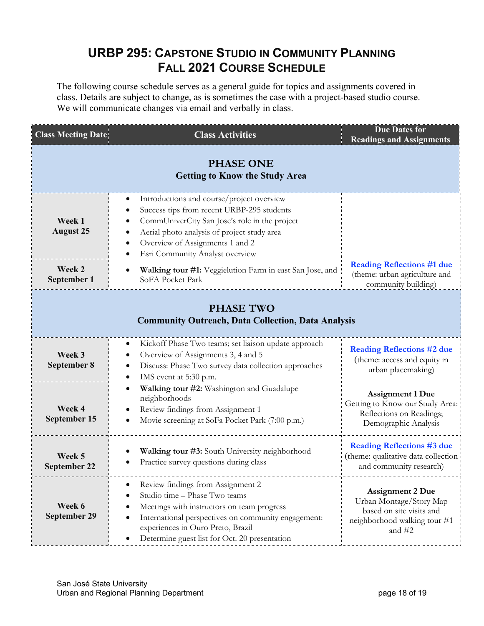# **URBP 295: CAPSTONE STUDIO IN COMMUNITY PLANNING FALL 2021 COURSE SCHEDULE**

The following course schedule serves as a general guide for topics and assignments covered in class. Details are subject to change, as is sometimes the case with a project-based studio course. We will communicate changes via email and verbally in class.

| <b>Class Meeting Date</b>                                                     | <b>Class Activities</b>                                                                                                                                                                                                                                                    | <b>Due Dates for</b><br><b>Readings and Assignments</b>                                                                    |  |  |
|-------------------------------------------------------------------------------|----------------------------------------------------------------------------------------------------------------------------------------------------------------------------------------------------------------------------------------------------------------------------|----------------------------------------------------------------------------------------------------------------------------|--|--|
|                                                                               | <b>PHASE ONE</b><br><b>Getting to Know the Study Area</b>                                                                                                                                                                                                                  |                                                                                                                            |  |  |
| Week 1<br><b>August 25</b>                                                    | Introductions and course/project overview<br>Success tips from recent URBP-295 students<br>CommUniverCity San Jose's role in the project<br>Aerial photo analysis of project study area<br>Overview of Assignments 1 and 2<br>Esri Community Analyst overview              |                                                                                                                            |  |  |
| Week 2<br>September 1                                                         | Walking tour #1: Veggielution Farm in east San Jose, and<br>SoFA Pocket Park                                                                                                                                                                                               | <b>Reading Reflections #1 due</b><br>(theme: urban agriculture and<br>community building)                                  |  |  |
| <b>PHASE TWO</b><br><b>Community Outreach, Data Collection, Data Analysis</b> |                                                                                                                                                                                                                                                                            |                                                                                                                            |  |  |
| Week 3<br>September 8                                                         | Kickoff Phase Two teams; set liaison update approach<br>Overview of Assignments 3, 4 and 5<br>Discuss: Phase Two survey data collection approaches<br>IMS event at 5:30 p.m.                                                                                               | <b>Reading Reflections #2 due</b><br>(theme: access and equity in<br>urban placemaking)                                    |  |  |
| Week 4<br>September 15                                                        | Walking tour #2: Washington and Guadalupe<br>$\bullet$<br>neighborhoods<br>Review findings from Assignment 1<br>Movie screening at SoFa Pocket Park (7:00 p.m.)<br>$\bullet$                                                                                               | <b>Assignment 1 Due</b><br>Getting to Know our Study Area:<br>Reflections on Readings;<br>Demographic Analysis             |  |  |
| Week 5<br><b>September 22</b>                                                 | Walking tour #3: South University neighborhood<br>Practice survey questions during class                                                                                                                                                                                   | <b>Reading Reflections #3 due</b><br>(theme: qualitative data collection<br>and community research)                        |  |  |
| Week 6<br><b>September 29</b>                                                 | Review findings from Assignment 2<br>Studio time - Phase Two teams<br>Meetings with instructors on team progress<br>International perspectives on community engagement:<br>$\bullet$<br>experiences in Ouro Preto, Brazil<br>Determine guest list for Oct. 20 presentation | <b>Assignment 2 Due</b><br>Urban Montage/Story Map<br>based on site visits and<br>neighborhood walking tour #1<br>and $#2$ |  |  |